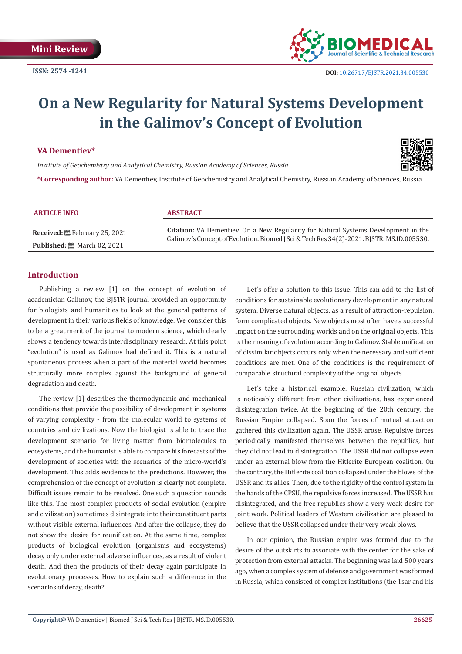

# **On a New Regularity for Natural Systems Development in the Galimov's Concept of Evolution**

## **VA Dementiev\***

*Institute of Geochemistry and Analytical Chemistry, Russian Academy of Sciences, Russia*



**\*Corresponding author:** VA Dementiev, Institute of Geochemistry and Analytical Chemistry, Russian Academy of Sciences, Russia

#### **ARTICLE INFO ABSTRACT**

**Received:** February 25, 2021 **Published:** 圖 March 02, 2021

**Citation:** VA Dementiev. On a New Regularity for Natural Systems Development in the Galimov's Concept of Evolution. Biomed J Sci & Tech Res 34(2)-2021. BJSTR. MS.ID.005530.

# **Introduction**

Publishing a review [1] on the concept of evolution of academician Galimov, the BJSTR journal provided an opportunity for biologists and humanities to look at the general patterns of development in their various fields of knowledge. We consider this to be a great merit of the journal to modern science, which clearly shows a tendency towards interdisciplinary research. At this point "evolution" is used as Galimov had defined it. This is a natural spontaneous process when a part of the material world becomes structurally more complex against the background of general degradation and death.

The review [1] describes the thermodynamic and mechanical conditions that provide the possibility of development in systems of varying complexity - from the molecular world to systems of countries and civilizations. Now the biologist is able to trace the development scenario for living matter from biomolecules to ecosystems, and the humanist is able to compare his forecasts of the development of societies with the scenarios of the micro-world's development. This adds evidence to the predictions. However, the comprehension of the concept of evolution is clearly not complete. Difficult issues remain to be resolved. One such a question sounds like this. The most complex products of social evolution (empire and civilization) sometimes disintegrate into their constituent parts without visible external influences. And after the collapse, they do not show the desire for reunification. At the same time, complex products of biological evolution (organisms and ecosystems) decay only under external adverse influences, as a result of violent death. And then the products of their decay again participate in evolutionary processes. How to explain such a difference in the scenarios of decay, death?

Let's offer a solution to this issue. This can add to the list of conditions for sustainable evolutionary development in any natural system. Diverse natural objects, as a result of attraction-repulsion, form complicated objects. New objects most often have a successful impact on the surrounding worlds and on the original objects. This is the meaning of evolution according to Galimov. Stable unification of dissimilar objects occurs only when the necessary and sufficient conditions are met. One of the conditions is the requirement of comparable structural complexity of the original objects.

Let's take a historical example. Russian civilization, which is noticeably different from other civilizations, has experienced disintegration twice. At the beginning of the 20th century, the Russian Empire collapsed. Soon the forces of mutual attraction gathered this civilization again. The USSR arose. Repulsive forces periodically manifested themselves between the republics, but they did not lead to disintegration. The USSR did not collapse even under an external blow from the Hitlerite European coalition. On the contrary, the Hitlerite coalition collapsed under the blows of the USSR and its allies. Then, due to the rigidity of the control system in the hands of the CPSU, the repulsive forces increased. The USSR has disintegrated, and the free republics show a very weak desire for joint work. Political leaders of Western civilization are pleased to believe that the USSR collapsed under their very weak blows.

In our opinion, the Russian empire was formed due to the desire of the outskirts to associate with the center for the sake of protection from external attacks. The beginning was laid 500 years ago, when a complex system of defense and government was formed in Russia, which consisted of complex institutions (the Tsar and his